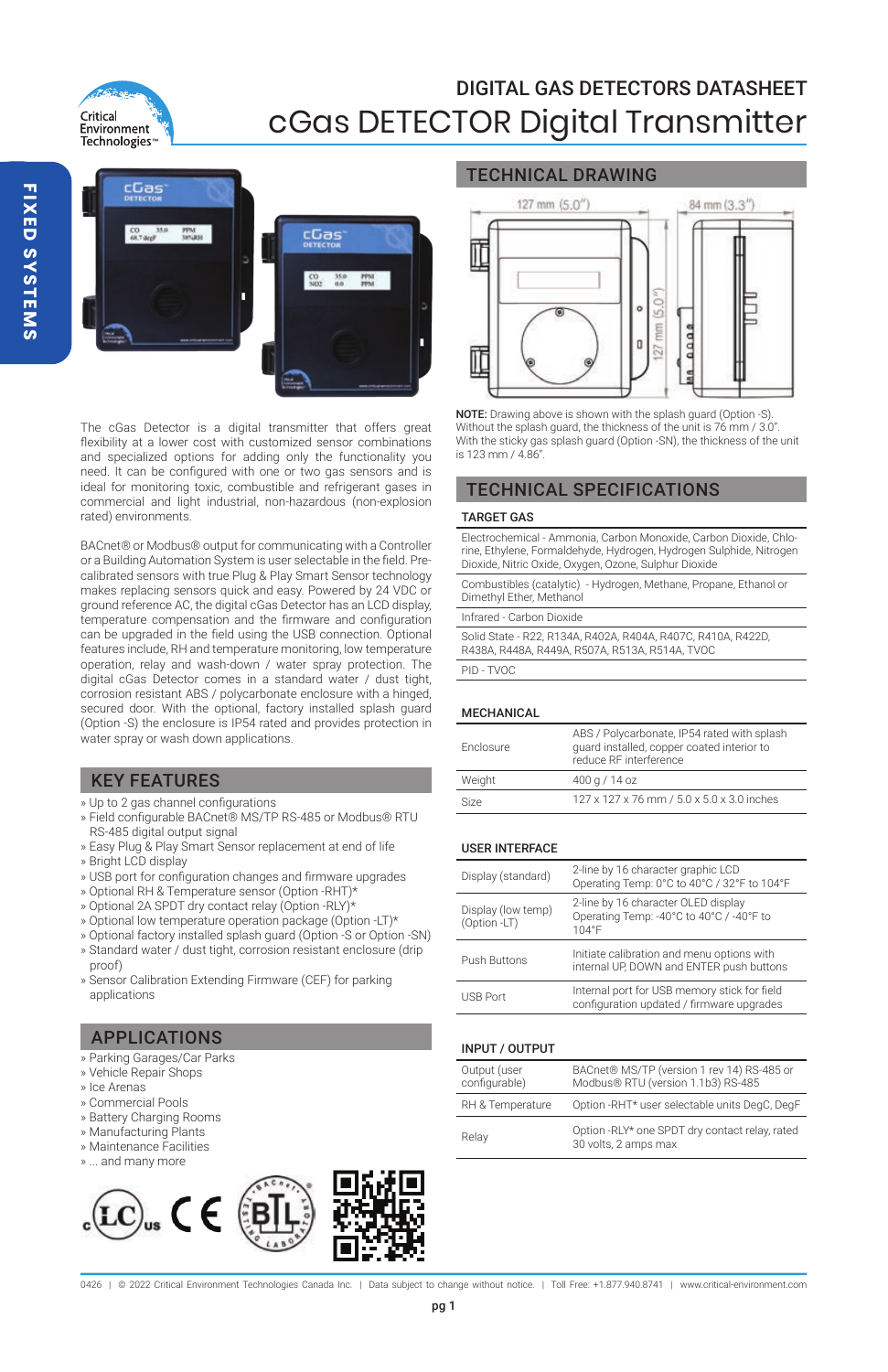



The cGas Detector is a digital transmitter that offers great flexibility at a lower cost with customized sensor combinations and specialized options for adding only the functionality you need. It can be configured with one or two gas sensors and is ideal for monitoring toxic, combustible and refrigerant gases in commercial and light industrial, non-hazardous (non-explosion rated) environments.

BACnet® or Modbus® output for communicating with a Controller or a Building Automation System is user selectable in the field. Precalibrated sensors with true Plug & Play Smart Sensor technology makes replacing sensors quick and easy. Powered by 24 VDC or ground reference AC, the digital cGas Detector has an LCD display, temperature compensation and the firmware and configuration can be upgraded in the field using the USB connection. Optional features include, RH and temperature monitoring, low temperature operation, relay and wash-down / water spray protection. The digital cGas Detector comes in a standard water / dust tight, corrosion resistant ABS / polycarbonate enclosure with a hinged, secured door. With the optional, factory installed splash guard (Option -S) the enclosure is IP54 rated and provides protection in water spray or wash down applications.

# KEY FEATURES

- » Up to 2 gas channel configurations
- » Field configurable BACnet® MS/TP RS-485 or Modbus® RTU RS-485 digital output signal
- » Easy Plug & Play Smart Sensor replacement at end of life » Bright LCD display
- » USB port for configuration changes and firmware upgrades
- » Optional RH & Temperature sensor (Option -RHT)\*
- 
- » Optional 2A SPDT dry contact relay (Option -RLY)\* » Optional low temperature operation package (Option -LT)\*
- 
- » Optional factory installed splash guard (Option -S or Option -SN) » Standard water / dust tight, corrosion resistant enclosure (drip proof)
- » Sensor Calibration Extending Firmware (CEF) for parking applications

# APPLICATIONS

- » Parking Garages/Car Parks
- » Vehicle Repair Shops
- » Ice Arenas
- » Commercial Pools
- » Battery Charging Rooms
- » Manufacturing Plants
- » Maintenance Facilities » ... and many more
- 

### TECHNICAL DRAWING



NOTE: Drawing above is shown with the splash guard (Option -S). Without the splash quard, the thickness of the unit is 76 mm / 3.0" With the sticky gas splash guard (Option -SN), the thickness of the unit is 123 mm / 4.86".

### TECHNICAL SPECIFICATIONS

#### TARGET GAS

Electrochemical - Ammonia, Carbon Monoxide, Carbon Dioxide, Chlorine, Ethylene, Formaldehyde, Hydrogen, Hydrogen Sulphide, Nitrogen Dioxide, Nitric Oxide, Oxygen, Ozone, Sulphur Dioxide

Combustibles (catalytic) - Hydrogen, Methane, Propane, Ethanol or Dimethyl Ether, Methanol

Infrared - Carbon Dioxide

Solid State - R22, R134A, R402A, R404A, R407C, R410A, R422D, R438A, R448A, R449A, R507A, R513A, R514A, TVOC

PID - TVOC

#### MECHANICAL

| Enclosure | ABS / Polycarbonate, IP54 rated with splash<br>guard installed, copper coated interior to<br>reduce RF interference |
|-----------|---------------------------------------------------------------------------------------------------------------------|
| Weight    | 400 g / 14 oz                                                                                                       |
| Size      | 127 x 127 x 76 mm / 5.0 x 5.0 x 3.0 inches                                                                          |

#### USER INTERFACE

| Display (standard)                 | 2-line by 16 character graphic LCD<br>Operating Temp: 0°C to 40°C / 32°F to 104°F                |
|------------------------------------|--------------------------------------------------------------------------------------------------|
| Display (low temp)<br>(Option -LT) | 2-line by 16 character OLED display<br>Operating Temp: -40°C to 40°C / -40°F to<br>$104^\circ F$ |
| Push Buttons                       | Initiate calibration and menu options with<br>internal UP. DOWN and ENTER push buttons           |
| USB Port                           | Internal port for USB memory stick for field<br>configuration updated / firmware upgrades        |

#### INPUT / OUTPUT

| Output (user<br>configurable) | BACnet® MS/TP (version 1 rev 14) RS-485 or<br>Modbus® RTU (version 1.1b3) RS-485 |
|-------------------------------|----------------------------------------------------------------------------------|
| RH & Temperature              | Option -RHT* user selectable units DegC, DegF                                    |
| Relav                         | Option -RLY* one SPDT dry contact relay, rated<br>30 volts, 2 amps max           |

0426 | @ 2022 Critical Environment Technologies Canada Inc. | Data subject to change without notice. | Toll Free: +1.877.940.8741 | www.critical-environment.com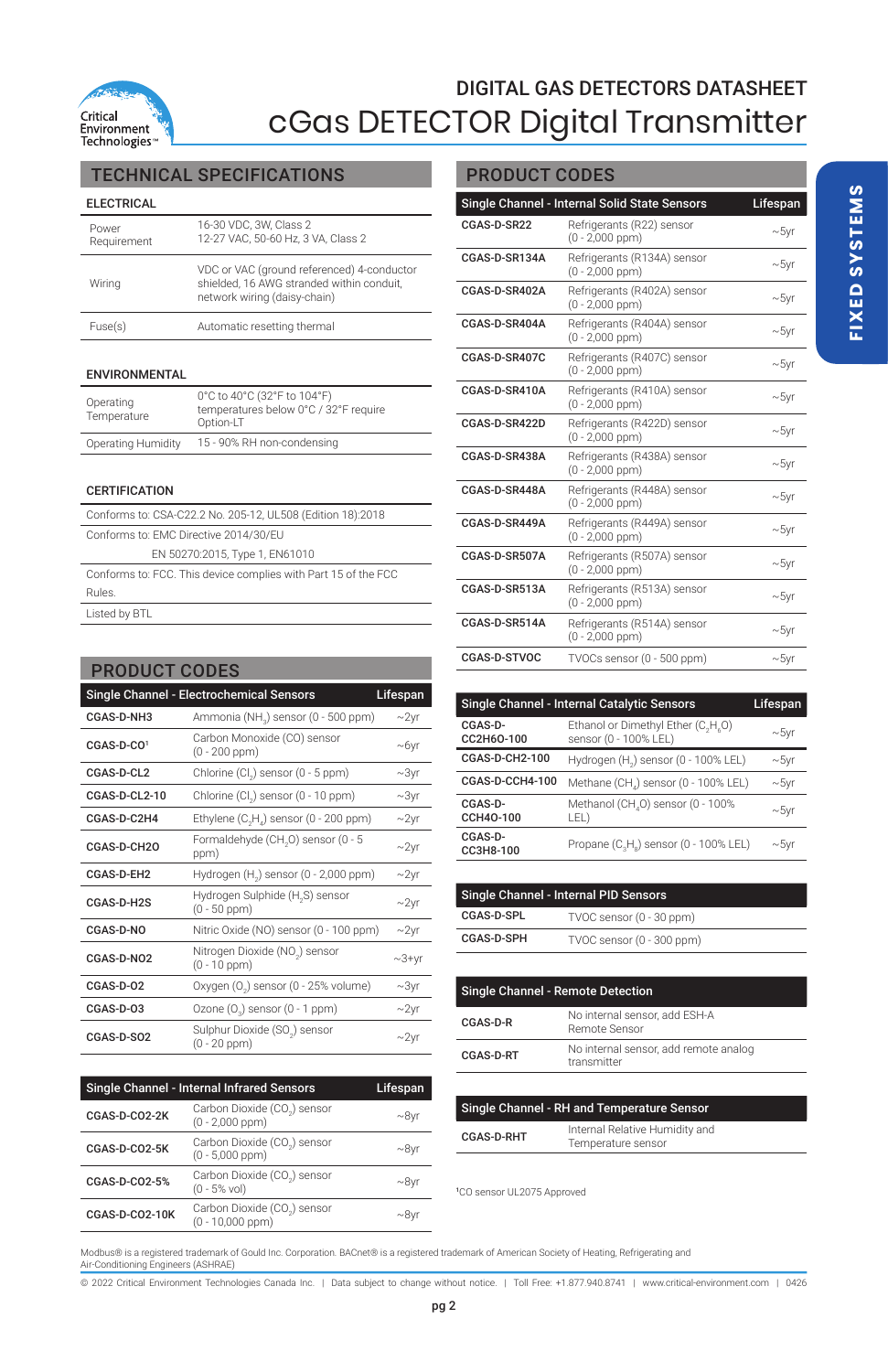

# TECHNICAL SPECIFICATIONS PRODUCT CODES

### ELECTRICAL

| Power<br>Requirement | 16-30 VDC, 3W, Class 2<br>12-27 VAC, 50-60 Hz, 3 VA, Class 2                                                            |
|----------------------|-------------------------------------------------------------------------------------------------------------------------|
| Wirina               | VDC or VAC (ground referenced) 4-conductor<br>shielded, 16 AWG stranded within conduit.<br>network wiring (daisy-chain) |
| Fuse(s)              | Automatic resetting thermal                                                                                             |

#### ENVIRONMENTAL

| Operating<br>Temperature | 0°C to 40°C (32°F to 104°F)<br>temperatures below 0°C / 32°F require<br>Option-LT |
|--------------------------|-----------------------------------------------------------------------------------|
| Operating Humidity       | 15 - 90% RH non-condensing                                                        |

### **CERTIFICATION**

| Conforms to: CSA-C22.2 No. 205-12, UL508 (Edition 18):2018     |  |  |
|----------------------------------------------------------------|--|--|
| Conforms to: EMC Directive 2014/30/EU                          |  |  |
| EN 50270:2015, Type 1, EN61010                                 |  |  |
| Conforms to: FCC. This device complies with Part 15 of the FCC |  |  |
| <b>Rules</b>                                                   |  |  |
| Listed by BTL                                                  |  |  |

| <b>PRODUCT CODES</b>   |                                                                  |               |
|------------------------|------------------------------------------------------------------|---------------|
|                        | Single Channel - Electrochemical Sensors                         | Lifespan      |
| CGAS-D-NH3             | Ammonia (NH <sub>2</sub> ) sensor (0 - 500 ppm)                  | $\sim$ 2yr    |
| CGAS-D-CO1             | Carbon Monoxide (CO) sensor<br>$(0 - 200$ ppm $)$                | $-6yr$        |
| CGAS-D-CL2             | Chlorine (Cl.) sensor (0 - 5 ppm)                                | $\sim$ 3 $vr$ |
| CGAS-D-CL2-10          | Chlorine (Cl.) sensor (0 - 10 ppm)                               | $\sim$ 3yr    |
| CGAS-D-C2H4            | Ethylene (C <sub>2</sub> H <sub>a</sub> ) sensor (0 - 200 ppm)   | $\sim$ 2yr    |
| CGAS-D-CH2O            | Formaldehyde (CH <sub>2</sub> O) sensor (0 - 5<br>ppm)           | $\sim$ 2yr    |
| CGAS-D-EH2             | Hydrogen (H <sub>2</sub> ) sensor (0 - 2,000 ppm)                | $\sim$ 2yr    |
| CGAS-D-H2S             | Hydrogen Sulphide (H <sub>o</sub> S) sensor<br>$(0 - 50$ ppm $)$ | $\sim$ 2yr    |
| CGAS-D-NO              | Nitric Oxide (NO) sensor (0 - 100 ppm)                           | $\sim$ 2yr    |
| CGAS-D-NO2             | Nitrogen Dioxide (NO.) sensor<br>$(0 - 10$ ppm $)$               | $\sim$ 3+yr   |
| CGAS-D-02              | Oxygen (O <sub>2</sub> ) sensor (0 - 25% volume)                 | $-3yr$        |
| CGAS-D-03              | Ozone (O <sub>2</sub> ) sensor (0 - 1 ppm)                       | $-2yr$        |
| CGAS-D-SO <sub>2</sub> | Sulphur Dioxide (SO <sub>2</sub> ) sensor<br>$(0 - 20$ ppm $)$   | $-2yr$        |

| Single Channel - Internal Infrared Sensors |                                                   | Lifespan |
|--------------------------------------------|---------------------------------------------------|----------|
| CGAS-D-CO2-2K                              | Carbon Dioxide (CO.) sensor<br>$(0 - 2.000$ ppm)  | $-8vr$   |
| CGAS-D-CO2-5K                              | Carbon Dioxide (CO.) sensor<br>$(0 - 5,000$ ppm)  | $-8$ vr  |
| CGAS-D-CO2-5%                              | Carbon Dioxide (CO.) sensor<br>$(0 - 5%$ vol)     | $-8vr$   |
| CGAS-D-CO2-10K                             | Carbon Dioxide (CO.) sensor<br>$(0 - 10,000$ ppm) | $-8v$    |

| Single Channel - Internal Solid State Sensors<br>Lifespan |                                                     |            |
|-----------------------------------------------------------|-----------------------------------------------------|------------|
| CGAS-D-SR22                                               | Refrigerants (R22) sensor<br>$(0 - 2.000$ ppm)      | $\sim$ 5yr |
| CGAS-D-SR134A                                             | Refrigerants (R134A) sensor<br>$(0 - 2,000$ ppm)    | $\sim$ 5yr |
| CGAS-D-SR402A                                             | Refrigerants (R402A) sensor<br>$(0 - 2,000$ ppm $)$ | $\sim$ 5yr |
| CGAS-D-SR404A                                             | Refrigerants (R404A) sensor<br>$(0 - 2.000$ ppm)    | $\sim$ 5yr |
| CGAS-D-SR407C                                             | Refrigerants (R407C) sensor<br>$(0 - 2,000$ ppm $)$ | $\sim$ 5yr |
| CGAS-D-SR410A                                             | Refrigerants (R410A) sensor<br>$(0 - 2.000$ ppm)    | $\sim$ 5yr |
| CGAS-D-SR422D                                             | Refrigerants (R422D) sensor<br>$(0 - 2,000$ ppm)    | $\sim$ 5yr |
| CGAS-D-SR438A                                             | Refrigerants (R438A) sensor<br>$(0 - 2,000$ ppm $)$ | $\sim$ 5yr |
| CGAS-D-SR448A                                             | Refrigerants (R448A) sensor<br>$(0 - 2,000$ ppm)    | $\sim$ 5yr |
| CGAS-D-SR449A                                             | Refrigerants (R449A) sensor<br>$(0 - 2,000$ ppm)    | $\sim$ 5yr |
| CGAS-D-SR507A                                             | Refrigerants (R507A) sensor<br>$(0 - 2,000$ ppm $)$ | $\sim$ 5yr |
| CGAS-D-SR513A                                             | Refrigerants (R513A) sensor<br>$(0 - 2,000$ ppm)    | $\sim$ 5yr |
| CGAS-D-SR514A                                             | Refrigerants (R514A) sensor<br>$(0 - 2,000$ ppm)    | $\sim$ 5yr |
| CGAS-D-STVOC                                              | TVOCs sensor (0 - 500 ppm)                          | ~10        |

| Single Channel - Internal Catalytic Sensors |                                                                | Lifespan      |
|---------------------------------------------|----------------------------------------------------------------|---------------|
| CGAS-D-<br>CC2H6O-100                       | Ethanol or Dimethyl Ether (C.H.O)<br>sensor (0 - 100% LEL)     | $\sim$ 5vr    |
| CGAS-D-CH2-100                              | Hydrogen (H <sub>2</sub> ) sensor (0 - 100% LEL)               | $\sim$ 5yr    |
| CGAS-D-CCH4-100                             | Methane (CH,) sensor (0 - 100% LEL)                            | $\sim$ 5 $vr$ |
| CGAS-D-<br>CCH40-100                        | Methanol (CH, 0) sensor (0 - 100%<br>LEL)                      | $\sim$ 5vr    |
| CGAS-D-<br>CC3H8-100                        | Propane (C <sub>2</sub> H <sub>a</sub> ) sensor (0 - 100% LEL) | $\sim$ 5vr    |

| Single Channel - Internal PID Sensors |                           |  |
|---------------------------------------|---------------------------|--|
| CGAS-D-SPL                            | TVOC sensor (0 - 30 ppm)  |  |
| CGAS-D-SPH                            | TVOC sensor (0 - 300 ppm) |  |

| <b>Single Channel - Remote Detection</b> |                                                      |  |
|------------------------------------------|------------------------------------------------------|--|
| CGAS-D-R                                 | No internal sensor, add ESH-A<br>Remote Sensor       |  |
| CGAS-D-RT                                | No internal sensor, add remote analog<br>transmitter |  |

| Single Channel - RH and Temperature Sensor |                                                      |
|--------------------------------------------|------------------------------------------------------|
| CGAS-D-RHT                                 | Internal Relative Humidity and<br>Temperature sensor |

1 CO sensor UL2075 Approved

Modbus® is a registered trademark of Gould Inc. Corporation. BACnet® is a registered trademark of American Society of Heating, Refrigerating and Air-Conditioning Engineers (ASHRAE)

© 2022 Critical Environment Technologies Canada Inc. | Data subject to change without notice. | Toll Free: +1.877.940.8741 | www.critical-environment.com | 0426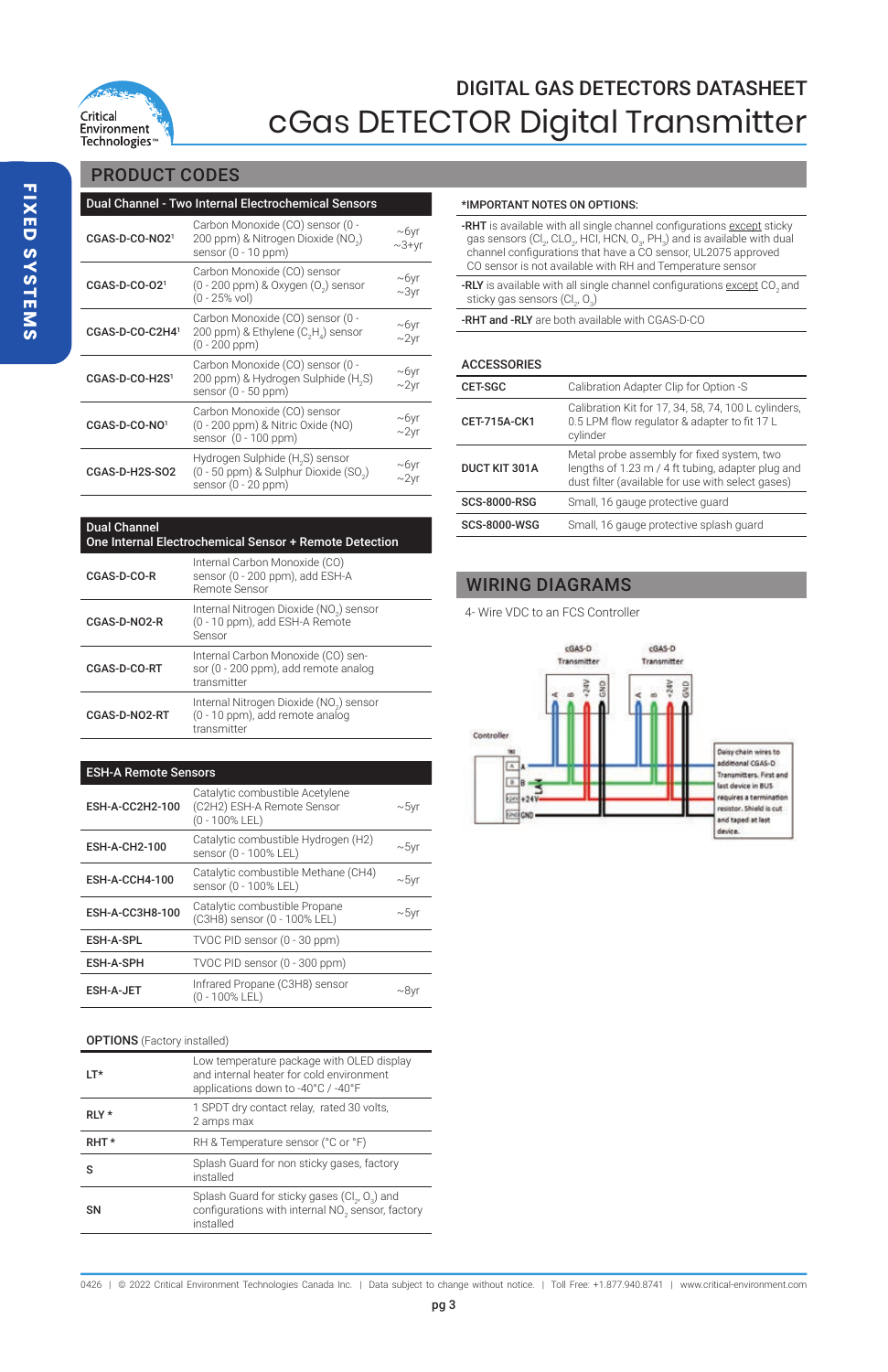

# PRODUCT CODES

| Dual Channel - Two Internal Electrochemical Sensors |                                                                                               |                        |  |  |
|-----------------------------------------------------|-----------------------------------------------------------------------------------------------|------------------------|--|--|
| CGAS-D-CO-NO21                                      | Carbon Monoxide (CO) sensor (0 -<br>200 ppm) & Nitrogen Dioxide (NO.)<br>sensor (0 - 10 ppm)  | $-6$ yr<br>$\sim$ 3+yr |  |  |
| CGAS-D-CO-021                                       | Carbon Monoxide (CO) sensor<br>(0 - 200 ppm) & Oxygen (0 ) sensor<br>(0 - 25% vol)            | $-6yr$<br>$\sim$ 3vr   |  |  |
| CGAS-D-CO-C2H41                                     | Carbon Monoxide (CO) sensor (0 -<br>200 ppm) & Ethylene (C,H,) sensor<br>(0 - 200 ppm)        | $-6$ yr<br>$-2yr$      |  |  |
| CGAS-D-CO-H2S1                                      | Carbon Monoxide (CO) sensor (0 -<br>200 ppm) & Hydrogen Sulphide (H.S)<br>sensor (0 - 50 ppm) | $-6yr$<br>$-2$ yr      |  |  |
| CGAS-D-CO-NO1                                       | Carbon Monoxide (CO) sensor<br>(0 - 200 ppm) & Nitric Oxide (NO)<br>sensor (0 - 100 ppm)      | $-6$ yr<br>$\sim$ 2yr  |  |  |
| CGAS-D-H2S-SO2                                      | Hydrogen Sulphide (H.S) sensor<br>(0 - 50 ppm) & Sulphur Dioxide (SO.)<br>sensor (0 - 20 ppm) | $-6$ yr<br>$\sim$ 2vr  |  |  |

#### \*IMPORTANT NOTES ON OPTIONS:

| -RHT is available with all single channel configurations except sticky                                                                 |
|----------------------------------------------------------------------------------------------------------------------------------------|
| gas sensors (Cl., CLO., HCI, HCN, O., PH.) and is available with dual<br>channel configurations that have a CO sensor, UL2075 approved |
| CO sensor is not available with RH and Temperature sensor                                                                              |
| -RLY is available with all single channel configurations except CO., and                                                               |
| sticky gas sensors (Cl., O.)                                                                                                           |

-RHT and -RLY are both available with CGAS-D-CO

#### ACCESSORIES

| <b>CET-SGC</b>       | Calibration Adapter Clip for Option -S                                                                                                               |
|----------------------|------------------------------------------------------------------------------------------------------------------------------------------------------|
| CET-715A-CK1         | Calibration Kit for 17, 34, 58, 74, 100 L cylinders,<br>0.5 LPM flow regulator & adapter to fit 17 L<br>cylinder                                     |
| <b>DUCT KIT 301A</b> | Metal probe assembly for fixed system, two<br>lengths of 1.23 m / 4 ft tubing, adapter plug and<br>dust filter (available for use with select gases) |
| <b>SCS-8000-RSG</b>  | Small, 16 gauge protective guard                                                                                                                     |
| <b>SCS-8000-WSG</b>  | Small, 16 gauge protective splash quard                                                                                                              |

## WIRING DIAGRAMS

4- Wire VDC to an FCS Controller



| <b>Dual Channel</b><br>One Internal Electrochemical Sensor + Remote Detection<br>Internal Carbon Monoxide (CO) |                                                                                           |  |  |
|----------------------------------------------------------------------------------------------------------------|-------------------------------------------------------------------------------------------|--|--|
| CGAS-D-CO-R                                                                                                    | sensor (0 - 200 ppm), add ESH-A<br>Remote Sensor                                          |  |  |
| CGAS-D-NO2-R                                                                                                   | Internal Nitrogen Dioxide (NO2) sensor<br>(0 - 10 ppm), add ESH-A Remote<br>Sensor        |  |  |
| CGAS-D-CO-RT                                                                                                   | Internal Carbon Monoxide (CO) sen-<br>sor (0 - 200 ppm), add remote analog<br>transmitter |  |  |
| CGAS-D-NO2-RT                                                                                                  | Internal Nitrogen Dioxide (NO2) sensor<br>(0 - 10 ppm), add remote analog<br>transmitter  |  |  |

#### ESH-A Remote Sensors

| ESH-A-CC2H2-100      | Catalytic combustible Acetylene<br>(C2H2) ESH-A Remote Sensor<br>(0 - 100% LEL) | $\sim$ 5vr |
|----------------------|---------------------------------------------------------------------------------|------------|
| <b>ESH-A-CH2-100</b> | Catalytic combustible Hydrogen (H2)<br>sensor (0 - 100% LEL)                    | $-5$ vr    |
| ESH-A-CCH4-100       | Catalytic combustible Methane (CH4)<br>sensor (0 - 100% LEL)                    | $\sim$ 5vr |
| ESH-A-CC3H8-100      | Catalytic combustible Propane<br>(C3H8) sensor (0 - 100% LEL)                   | $\sim$ 5vr |
| ESH-A-SPL            | TVOC PID sensor (0 - 30 ppm)                                                    |            |
| <b>ESH-A-SPH</b>     | TVOC PID sensor (0 - 300 ppm)                                                   |            |
| <b>ESH-A-JET</b>     | Infrared Propane (C3H8) sensor<br>(0 - 100% LEL)                                | ~81        |

#### OPTIONS (Factory installed)

| $IT*$ | Low temperature package with OLED display<br>and internal heater for cold environment<br>applications down to -40°C / -40°F |
|-------|-----------------------------------------------------------------------------------------------------------------------------|
| RLY * | 1 SPDT dry contact relay, rated 30 volts,<br>2 amps max                                                                     |
| RHT*  | RH & Temperature sensor (°C or °F)                                                                                          |
| ς     | Splash Guard for non sticky gases, factory<br>installed                                                                     |
| SN    | Splash Guard for sticky gases (Cl., O.) and<br>configurations with internal NO <sub>2</sub> sensor, factory<br>installed    |